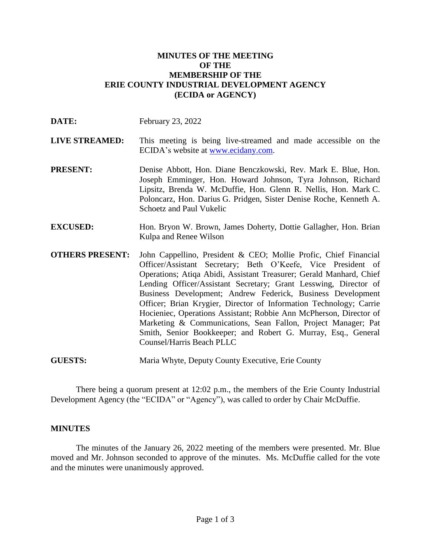### **MINUTES OF THE MEETING OF THE MEMBERSHIP OF THE ERIE COUNTY INDUSTRIAL DEVELOPMENT AGENCY (ECIDA or AGENCY)**

| DATE:                  | February 23, 2022                                                                                                                                                                                                                                                                                                                                                                                                                                                                                                                                                                                                                                     |
|------------------------|-------------------------------------------------------------------------------------------------------------------------------------------------------------------------------------------------------------------------------------------------------------------------------------------------------------------------------------------------------------------------------------------------------------------------------------------------------------------------------------------------------------------------------------------------------------------------------------------------------------------------------------------------------|
| <b>LIVE STREAMED:</b>  | This meeting is being live-streamed and made accessible on the<br>ECIDA's website at www.ecidany.com.                                                                                                                                                                                                                                                                                                                                                                                                                                                                                                                                                 |
| <b>PRESENT:</b>        | Denise Abbott, Hon. Diane Benczkowski, Rev. Mark E. Blue, Hon.<br>Joseph Emminger, Hon. Howard Johnson, Tyra Johnson, Richard<br>Lipsitz, Brenda W. McDuffie, Hon. Glenn R. Nellis, Hon. Mark C.<br>Poloncarz, Hon. Darius G. Pridgen, Sister Denise Roche, Kenneth A.<br><b>Schoetz and Paul Vukelic</b>                                                                                                                                                                                                                                                                                                                                             |
| <b>EXCUSED:</b>        | Hon. Bryon W. Brown, James Doherty, Dottie Gallagher, Hon. Brian<br>Kulpa and Renee Wilson                                                                                                                                                                                                                                                                                                                                                                                                                                                                                                                                                            |
| <b>OTHERS PRESENT:</b> | John Cappellino, President & CEO; Mollie Profic, Chief Financial<br>Officer/Assistant Secretary; Beth O'Keefe, Vice President of<br>Operations; Atiqa Abidi, Assistant Treasurer; Gerald Manhard, Chief<br>Lending Officer/Assistant Secretary; Grant Lesswing, Director of<br>Business Development; Andrew Federick, Business Development<br>Officer; Brian Krygier, Director of Information Technology; Carrie<br>Hocieniec, Operations Assistant; Robbie Ann McPherson, Director of<br>Marketing & Communications, Sean Fallon, Project Manager; Pat<br>Smith, Senior Bookkeeper; and Robert G. Murray, Esq., General<br>Counsel/Harris Beach PLLC |
| <b>GUESTS:</b>         | Maria Whyte, Deputy County Executive, Erie County                                                                                                                                                                                                                                                                                                                                                                                                                                                                                                                                                                                                     |

There being a quorum present at 12:02 p.m., the members of the Erie County Industrial Development Agency (the "ECIDA" or "Agency"), was called to order by Chair McDuffie.

#### **MINUTES**

The minutes of the January 26, 2022 meeting of the members were presented. Mr. Blue moved and Mr. Johnson seconded to approve of the minutes. Ms. McDuffie called for the vote and the minutes were unanimously approved.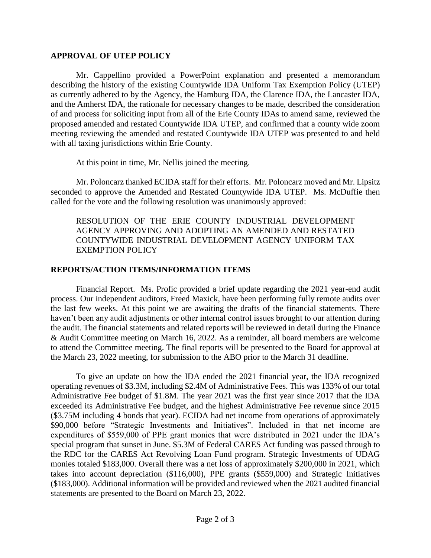### **APPROVAL OF UTEP POLICY**

Mr. Cappellino provided a PowerPoint explanation and presented a memorandum describing the history of the existing Countywide IDA Uniform Tax Exemption Policy (UTEP) as currently adhered to by the Agency, the Hamburg IDA, the Clarence IDA, the Lancaster IDA, and the Amherst IDA, the rationale for necessary changes to be made, described the consideration of and process for soliciting input from all of the Erie County IDAs to amend same, reviewed the proposed amended and restated Countywide IDA UTEP, and confirmed that a county wide zoom meeting reviewing the amended and restated Countywide IDA UTEP was presented to and held with all taxing jurisdictions within Erie County.

At this point in time, Mr. Nellis joined the meeting.

Mr. Poloncarz thanked ECIDA staff for their efforts. Mr. Poloncarz moved and Mr. Lipsitz seconded to approve the Amended and Restated Countywide IDA UTEP. Ms. McDuffie then called for the vote and the following resolution was unanimously approved:

RESOLUTION OF THE ERIE COUNTY INDUSTRIAL DEVELOPMENT AGENCY APPROVING AND ADOPTING AN AMENDED AND RESTATED COUNTYWIDE INDUSTRIAL DEVELOPMENT AGENCY UNIFORM TAX EXEMPTION POLICY

## **REPORTS/ACTION ITEMS/INFORMATION ITEMS**

Financial Report. Ms. Profic provided a brief update regarding the 2021 year-end audit process. Our independent auditors, Freed Maxick, have been performing fully remote audits over the last few weeks. At this point we are awaiting the drafts of the financial statements. There haven't been any audit adjustments or other internal control issues brought to our attention during the audit. The financial statements and related reports will be reviewed in detail during the Finance & Audit Committee meeting on March 16, 2022. As a reminder, all board members are welcome to attend the Committee meeting. The final reports will be presented to the Board for approval at the March 23, 2022 meeting, for submission to the ABO prior to the March 31 deadline.

To give an update on how the IDA ended the 2021 financial year, the IDA recognized operating revenues of \$3.3M, including \$2.4M of Administrative Fees. This was 133% of our total Administrative Fee budget of \$1.8M. The year 2021 was the first year since 2017 that the IDA exceeded its Administrative Fee budget, and the highest Administrative Fee revenue since 2015 (\$3.75M including 4 bonds that year). ECIDA had net income from operations of approximately \$90,000 before "Strategic Investments and Initiatives". Included in that net income are expenditures of \$559,000 of PPE grant monies that were distributed in 2021 under the IDA's special program that sunset in June. \$5.3M of Federal CARES Act funding was passed through to the RDC for the CARES Act Revolving Loan Fund program. Strategic Investments of UDAG monies totaled \$183,000. Overall there was a net loss of approximately \$200,000 in 2021, which takes into account depreciation (\$116,000), PPE grants (\$559,000) and Strategic Initiatives (\$183,000). Additional information will be provided and reviewed when the 2021 audited financial statements are presented to the Board on March 23, 2022.